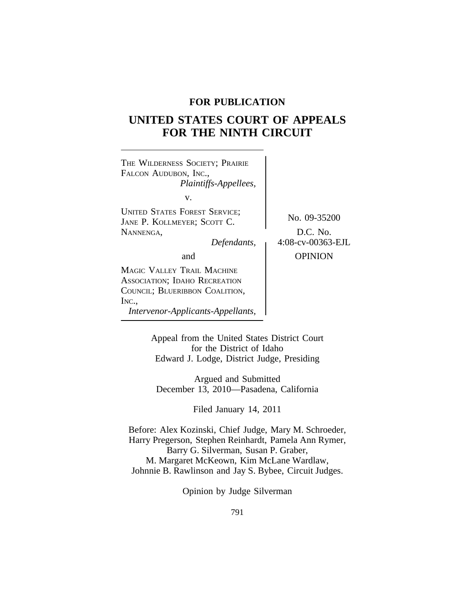### **FOR PUBLICATION**

# **UNITED STATES COURT OF APPEALS FOR THE NINTH CIRCUIT**



Appeal from the United States District Court for the District of Idaho Edward J. Lodge, District Judge, Presiding

Argued and Submitted December 13, 2010—Pasadena, California

Filed January 14, 2011

Before: Alex Kozinski, Chief Judge, Mary M. Schroeder, Harry Pregerson, Stephen Reinhardt, Pamela Ann Rymer, Barry G. Silverman, Susan P. Graber, M. Margaret McKeown, Kim McLane Wardlaw, Johnnie B. Rawlinson and Jay S. Bybee, Circuit Judges.

Opinion by Judge Silverman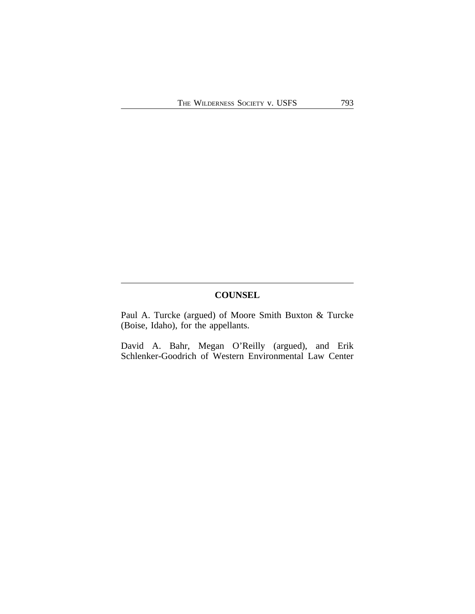## **COUNSEL**

Paul A. Turcke (argued) of Moore Smith Buxton & Turcke (Boise, Idaho), for the appellants.

David A. Bahr, Megan O'Reilly (argued), and Erik Schlenker-Goodrich of Western Environmental Law Center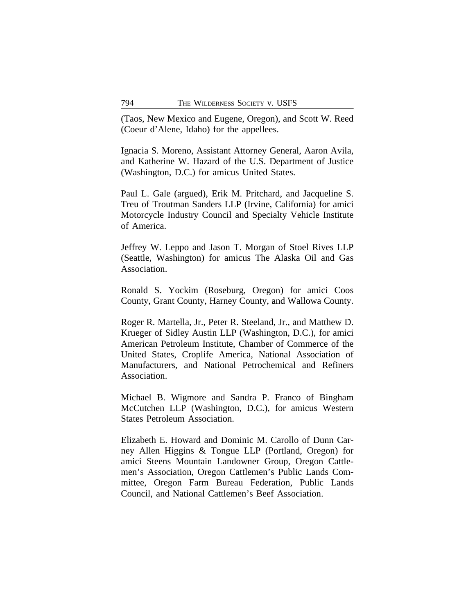(Taos, New Mexico and Eugene, Oregon), and Scott W. Reed (Coeur d'Alene, Idaho) for the appellees.

Ignacia S. Moreno, Assistant Attorney General, Aaron Avila, and Katherine W. Hazard of the U.S. Department of Justice (Washington, D.C.) for amicus United States.

Paul L. Gale (argued), Erik M. Pritchard, and Jacqueline S. Treu of Troutman Sanders LLP (Irvine, California) for amici Motorcycle Industry Council and Specialty Vehicle Institute of America.

Jeffrey W. Leppo and Jason T. Morgan of Stoel Rives LLP (Seattle, Washington) for amicus The Alaska Oil and Gas Association.

Ronald S. Yockim (Roseburg, Oregon) for amici Coos County, Grant County, Harney County, and Wallowa County.

Roger R. Martella, Jr., Peter R. Steeland, Jr., and Matthew D. Krueger of Sidley Austin LLP (Washington, D.C.), for amici American Petroleum Institute, Chamber of Commerce of the United States, Croplife America, National Association of Manufacturers, and National Petrochemical and Refiners Association.

Michael B. Wigmore and Sandra P. Franco of Bingham McCutchen LLP (Washington, D.C.), for amicus Western States Petroleum Association.

Elizabeth E. Howard and Dominic M. Carollo of Dunn Carney Allen Higgins & Tongue LLP (Portland, Oregon) for amici Steens Mountain Landowner Group, Oregon Cattlemen's Association, Oregon Cattlemen's Public Lands Committee, Oregon Farm Bureau Federation, Public Lands Council, and National Cattlemen's Beef Association.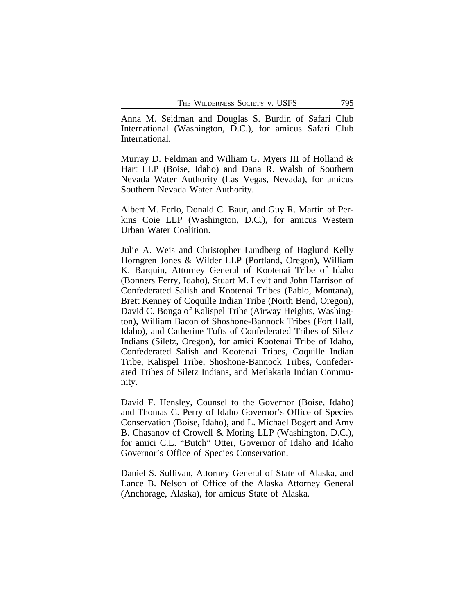Anna M. Seidman and Douglas S. Burdin of Safari Club International (Washington, D.C.), for amicus Safari Club International.

Murray D. Feldman and William G. Myers III of Holland & Hart LLP (Boise, Idaho) and Dana R. Walsh of Southern Nevada Water Authority (Las Vegas, Nevada), for amicus Southern Nevada Water Authority.

Albert M. Ferlo, Donald C. Baur, and Guy R. Martin of Perkins Coie LLP (Washington, D.C.), for amicus Western Urban Water Coalition.

Julie A. Weis and Christopher Lundberg of Haglund Kelly Horngren Jones & Wilder LLP (Portland, Oregon), William K. Barquin, Attorney General of Kootenai Tribe of Idaho (Bonners Ferry, Idaho), Stuart M. Levit and John Harrison of Confederated Salish and Kootenai Tribes (Pablo, Montana), Brett Kenney of Coquille Indian Tribe (North Bend, Oregon), David C. Bonga of Kalispel Tribe (Airway Heights, Washington), William Bacon of Shoshone-Bannock Tribes (Fort Hall, Idaho), and Catherine Tufts of Confederated Tribes of Siletz Indians (Siletz, Oregon), for amici Kootenai Tribe of Idaho, Confederated Salish and Kootenai Tribes, Coquille Indian Tribe, Kalispel Tribe, Shoshone-Bannock Tribes, Confederated Tribes of Siletz Indians, and Metlakatla Indian Community.

David F. Hensley, Counsel to the Governor (Boise, Idaho) and Thomas C. Perry of Idaho Governor's Office of Species Conservation (Boise, Idaho), and L. Michael Bogert and Amy B. Chasanov of Crowell & Moring LLP (Washington, D.C.), for amici C.L. "Butch" Otter, Governor of Idaho and Idaho Governor's Office of Species Conservation.

Daniel S. Sullivan, Attorney General of State of Alaska, and Lance B. Nelson of Office of the Alaska Attorney General (Anchorage, Alaska), for amicus State of Alaska.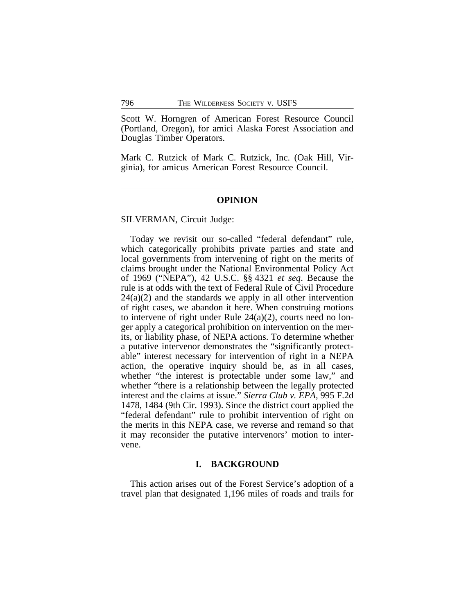Scott W. Horngren of American Forest Resource Council (Portland, Oregon), for amici Alaska Forest Association and Douglas Timber Operators.

Mark C. Rutzick of Mark C. Rutzick, Inc. (Oak Hill, Virginia), for amicus American Forest Resource Council.

#### **OPINION**

SILVERMAN, Circuit Judge:

Today we revisit our so-called "federal defendant" rule, which categorically prohibits private parties and state and local governments from intervening of right on the merits of claims brought under the National Environmental Policy Act of 1969 ("NEPA"), 42 U.S.C. §§ 4321 *et seq*. Because the rule is at odds with the text of Federal Rule of Civil Procedure  $24(a)(2)$  and the standards we apply in all other intervention of right cases, we abandon it here. When construing motions to intervene of right under Rule 24(a)(2), courts need no longer apply a categorical prohibition on intervention on the merits, or liability phase, of NEPA actions. To determine whether a putative intervenor demonstrates the "significantly protectable" interest necessary for intervention of right in a NEPA action, the operative inquiry should be, as in all cases, whether "the interest is protectable under some law," and whether "there is a relationship between the legally protected interest and the claims at issue." *Sierra Club v. EPA*, 995 F.2d 1478, 1484 (9th Cir. 1993). Since the district court applied the "federal defendant" rule to prohibit intervention of right on the merits in this NEPA case, we reverse and remand so that it may reconsider the putative intervenors' motion to intervene.

#### **I. BACKGROUND**

This action arises out of the Forest Service's adoption of a travel plan that designated 1,196 miles of roads and trails for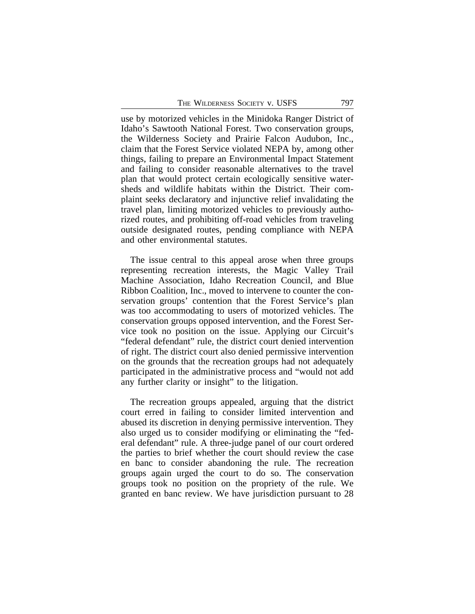use by motorized vehicles in the Minidoka Ranger District of Idaho's Sawtooth National Forest. Two conservation groups, the Wilderness Society and Prairie Falcon Audubon, Inc., claim that the Forest Service violated NEPA by, among other things, failing to prepare an Environmental Impact Statement and failing to consider reasonable alternatives to the travel plan that would protect certain ecologically sensitive watersheds and wildlife habitats within the District. Their complaint seeks declaratory and injunctive relief invalidating the travel plan, limiting motorized vehicles to previously authorized routes, and prohibiting off-road vehicles from traveling outside designated routes, pending compliance with NEPA and other environmental statutes.

The issue central to this appeal arose when three groups representing recreation interests, the Magic Valley Trail Machine Association, Idaho Recreation Council, and Blue Ribbon Coalition, Inc., moved to intervene to counter the conservation groups' contention that the Forest Service's plan was too accommodating to users of motorized vehicles. The conservation groups opposed intervention, and the Forest Service took no position on the issue. Applying our Circuit's "federal defendant" rule, the district court denied intervention of right. The district court also denied permissive intervention on the grounds that the recreation groups had not adequately participated in the administrative process and "would not add any further clarity or insight" to the litigation.

The recreation groups appealed, arguing that the district court erred in failing to consider limited intervention and abused its discretion in denying permissive intervention. They also urged us to consider modifying or eliminating the "federal defendant" rule. A three-judge panel of our court ordered the parties to brief whether the court should review the case en banc to consider abandoning the rule. The recreation groups again urged the court to do so. The conservation groups took no position on the propriety of the rule. We granted en banc review. We have jurisdiction pursuant to 28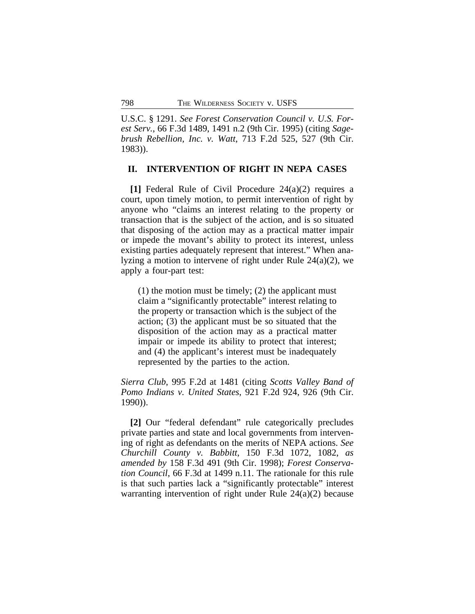U.S.C. § 1291. *See Forest Conservation Council v. U.S. Forest Serv.*, 66 F.3d 1489, 1491 n.2 (9th Cir. 1995) (citing *Sagebrush Rebellion, Inc. v. Watt*, 713 F.2d 525, 527 (9th Cir. 1983)).

#### **II. INTERVENTION OF RIGHT IN NEPA CASES**

**[1]** Federal Rule of Civil Procedure 24(a)(2) requires a court, upon timely motion, to permit intervention of right by anyone who "claims an interest relating to the property or transaction that is the subject of the action, and is so situated that disposing of the action may as a practical matter impair or impede the movant's ability to protect its interest, unless existing parties adequately represent that interest." When analyzing a motion to intervene of right under Rule 24(a)(2), we apply a four-part test:

(1) the motion must be timely; (2) the applicant must claim a "significantly protectable" interest relating to the property or transaction which is the subject of the action; (3) the applicant must be so situated that the disposition of the action may as a practical matter impair or impede its ability to protect that interest; and (4) the applicant's interest must be inadequately represented by the parties to the action.

*Sierra Club*, 995 F.2d at 1481 (citing *Scotts Valley Band of Pomo Indians v. United States*, 921 F.2d 924, 926 (9th Cir. 1990)).

**[2]** Our "federal defendant" rule categorically precludes private parties and state and local governments from intervening of right as defendants on the merits of NEPA actions. *See Churchill County v. Babbitt*, 150 F.3d 1072, 1082, *as amended by* 158 F.3d 491 (9th Cir. 1998); *Forest Conservation Council*, 66 F.3d at 1499 n.11. The rationale for this rule is that such parties lack a "significantly protectable" interest warranting intervention of right under Rule 24(a)(2) because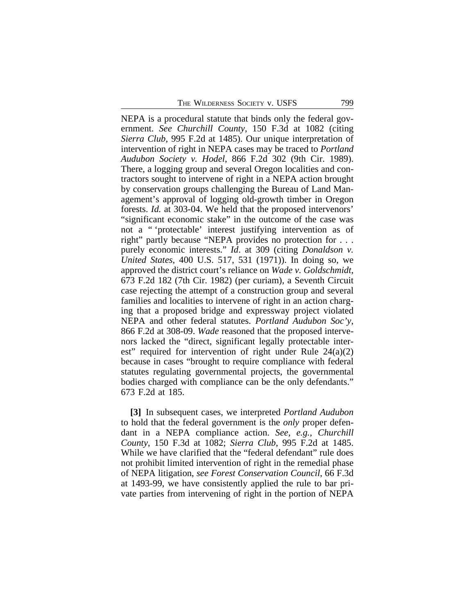NEPA is a procedural statute that binds only the federal government. *See Churchill County*, 150 F.3d at 1082 (citing *Sierra Club*, 995 F.2d at 1485). Our unique interpretation of intervention of right in NEPA cases may be traced to *Portland Audubon Society v. Hodel*, 866 F.2d 302 (9th Cir. 1989). There, a logging group and several Oregon localities and contractors sought to intervene of right in a NEPA action brought by conservation groups challenging the Bureau of Land Management's approval of logging old-growth timber in Oregon forests. *Id.* at 303-04. We held that the proposed intervenors' "significant economic stake" in the outcome of the case was not a " 'protectable' interest justifying intervention as of right" partly because "NEPA provides no protection for . . . purely economic interests." *Id*. at 309 (citing *Donaldson v. United States*, 400 U.S. 517, 531 (1971)). In doing so, we approved the district court's reliance on *Wade v. Goldschmidt*, 673 F.2d 182 (7th Cir. 1982) (per curiam), a Seventh Circuit case rejecting the attempt of a construction group and several families and localities to intervene of right in an action charging that a proposed bridge and expressway project violated NEPA and other federal statutes. *Portland Audubon Soc'y*, 866 F.2d at 308-09. *Wade* reasoned that the proposed intervenors lacked the "direct, significant legally protectable interest" required for intervention of right under Rule 24(a)(2) because in cases "brought to require compliance with federal statutes regulating governmental projects, the governmental bodies charged with compliance can be the only defendants." 673 F.2d at 185.

**[3]** In subsequent cases, we interpreted *Portland Audubon* to hold that the federal government is the *only* proper defendant in a NEPA compliance action. *See, e.g., Churchill County*, 150 F.3d at 1082; *Sierra Club*, 995 F.2d at 1485. While we have clarified that the "federal defendant" rule does not prohibit limited intervention of right in the remedial phase of NEPA litigation, *see Forest Conservation Council*, 66 F.3d at 1493-99, we have consistently applied the rule to bar private parties from intervening of right in the portion of NEPA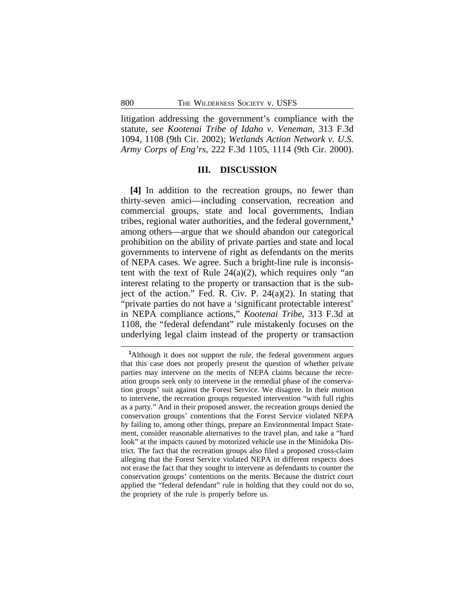litigation addressing the government's compliance with the statute, *see Kootenai Tribe of Idaho v. Veneman*, 313 F.3d 1094, 1108 (9th Cir. 2002); *Wetlands Action Network v. U.S. Army Corps of Eng'rs*, 222 F.3d 1105, 1114 (9th Cir. 2000).

#### **III. DISCUSSION**

**[4]** In addition to the recreation groups, no fewer than thirty-seven amici—including conservation, recreation and commercial groups, state and local governments, Indian tribes, regional water authorities, and the federal government,**<sup>1</sup>** among others—argue that we should abandon our categorical prohibition on the ability of private parties and state and local governments to intervene of right as defendants on the merits of NEPA cases. We agree. Such a bright-line rule is inconsistent with the text of Rule  $24(a)(2)$ , which requires only "an interest relating to the property or transaction that is the subject of the action." Fed. R. Civ. P. 24(a)(2). In stating that "private parties do not have a 'significant protectable interest' in NEPA compliance actions," *Kootenai Tribe*, 313 F.3d at 1108, the "federal defendant" rule mistakenly focuses on the underlying legal claim instead of the property or transaction

**<sup>1</sup>**Although it does not support the rule, the federal government argues that this case does not properly present the question of whether private parties may intervene on the merits of NEPA claims because the recreation groups seek only to intervene in the remedial phase of the conservation groups' suit against the Forest Service. We disagree. In their motion to intervene, the recreation groups requested intervention "with full rights as a party." And in their proposed answer, the recreation groups denied the conservation groups' contentions that the Forest Service violated NEPA by failing to, among other things, prepare an Environmental Impact Statement, consider reasonable alternatives to the travel plan, and take a "hard look" at the impacts caused by motorized vehicle use in the Minidoka District. The fact that the recreation groups also filed a proposed cross-claim alleging that the Forest Service violated NEPA in different respects does not erase the fact that they sought to intervene as defendants to counter the conservation groups' contentions on the merits. Because the district court applied the "federal defendant" rule in holding that they could not do so, the propriety of the rule is properly before us.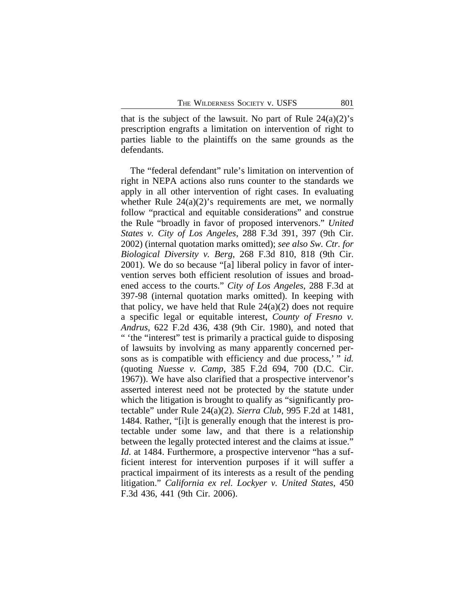that is the subject of the lawsuit. No part of Rule  $24(a)(2)$ 's prescription engrafts a limitation on intervention of right to parties liable to the plaintiffs on the same grounds as the defendants.

The "federal defendant" rule's limitation on intervention of right in NEPA actions also runs counter to the standards we apply in all other intervention of right cases. In evaluating whether Rule  $24(a)(2)$ 's requirements are met, we normally follow "practical and equitable considerations" and construe the Rule "broadly in favor of proposed intervenors." *United States v. City of Los Angeles*, 288 F.3d 391, 397 (9th Cir. 2002) (internal quotation marks omitted); *see also Sw. Ctr. for Biological Diversity v. Berg*, 268 F.3d 810, 818 (9th Cir. 2001). We do so because "[a] liberal policy in favor of intervention serves both efficient resolution of issues and broadened access to the courts." *City of Los Angeles*, 288 F.3d at 397-98 (internal quotation marks omitted). In keeping with that policy, we have held that Rule  $24(a)(2)$  does not require a specific legal or equitable interest, *County of Fresno v. Andrus*, 622 F.2d 436, 438 (9th Cir. 1980), and noted that " 'the "interest" test is primarily a practical guide to disposing of lawsuits by involving as many apparently concerned persons as is compatible with efficiency and due process,' " *id.* (quoting *Nuesse v. Camp*, 385 F.2d 694, 700 (D.C. Cir. 1967)). We have also clarified that a prospective intervenor's asserted interest need not be protected by the statute under which the litigation is brought to qualify as "significantly protectable" under Rule 24(a)(2). *Sierra Club*, 995 F.2d at 1481, 1484. Rather, "[i]t is generally enough that the interest is protectable under some law, and that there is a relationship between the legally protected interest and the claims at issue." *Id.* at 1484. Furthermore, a prospective intervenor "has a sufficient interest for intervention purposes if it will suffer a practical impairment of its interests as a result of the pending litigation." *California ex rel. Lockyer v. United States*, 450 F.3d 436, 441 (9th Cir. 2006).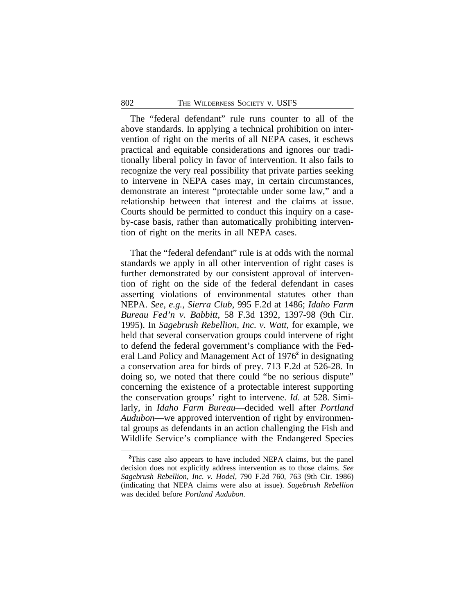The "federal defendant" rule runs counter to all of the above standards. In applying a technical prohibition on intervention of right on the merits of all NEPA cases, it eschews practical and equitable considerations and ignores our traditionally liberal policy in favor of intervention. It also fails to recognize the very real possibility that private parties seeking to intervene in NEPA cases may, in certain circumstances, demonstrate an interest "protectable under some law," and a relationship between that interest and the claims at issue. Courts should be permitted to conduct this inquiry on a caseby-case basis, rather than automatically prohibiting intervention of right on the merits in all NEPA cases.

That the "federal defendant" rule is at odds with the normal standards we apply in all other intervention of right cases is further demonstrated by our consistent approval of intervention of right on the side of the federal defendant in cases asserting violations of environmental statutes other than NEPA. *See, e.g., Sierra Club*, 995 F.2d at 1486; *Idaho Farm Bureau Fed'n v. Babbitt*, 58 F.3d 1392, 1397-98 (9th Cir. 1995). In *Sagebrush Rebellion, Inc. v. Watt*, for example, we held that several conservation groups could intervene of right to defend the federal government's compliance with the Federal Land Policy and Management Act of 1976**<sup>2</sup>** in designating a conservation area for birds of prey. 713 F.2d at 526-28. In doing so, we noted that there could "be no serious dispute" concerning the existence of a protectable interest supporting the conservation groups' right to intervene. *Id*. at 528. Similarly, in *Idaho Farm Bureau*—decided well after *Portland Audubon*—we approved intervention of right by environmental groups as defendants in an action challenging the Fish and Wildlife Service's compliance with the Endangered Species

**<sup>2</sup>**This case also appears to have included NEPA claims, but the panel decision does not explicitly address intervention as to those claims. *See Sagebrush Rebellion, Inc. v. Hodel*, 790 F.2d 760, 763 (9th Cir. 1986) (indicating that NEPA claims were also at issue). *Sagebrush Rebellion* was decided before *Portland Audubon*.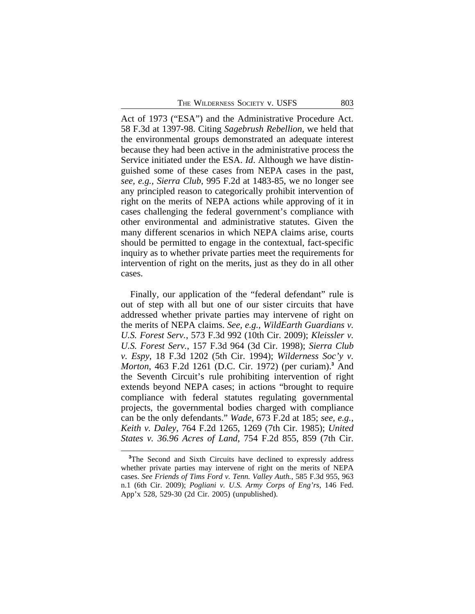Act of 1973 ("ESA") and the Administrative Procedure Act. 58 F.3d at 1397-98. Citing *Sagebrush Rebellion*, we held that the environmental groups demonstrated an adequate interest because they had been active in the administrative process the Service initiated under the ESA. *Id*. Although we have distinguished some of these cases from NEPA cases in the past, *see, e.g., Sierra Club*, 995 F.2d at 1483-85, we no longer see any principled reason to categorically prohibit intervention of right on the merits of NEPA actions while approving of it in cases challenging the federal government's compliance with other environmental and administrative statutes. Given the many different scenarios in which NEPA claims arise, courts should be permitted to engage in the contextual, fact-specific inquiry as to whether private parties meet the requirements for intervention of right on the merits, just as they do in all other cases.

Finally, our application of the "federal defendant" rule is out of step with all but one of our sister circuits that have addressed whether private parties may intervene of right on the merits of NEPA claims. *See, e.g., WildEarth Guardians v. U.S. Forest Serv.*, 573 F.3d 992 (10th Cir. 2009); *Kleissler v. U.S. Forest Serv.*, 157 F.3d 964 (3d Cir. 1998); *Sierra Club v. Espy*, 18 F.3d 1202 (5th Cir. 1994); *Wilderness Soc'y v. Morton*, 463 F.2d 1261 (D.C. Cir. 1972) (per curiam).**<sup>3</sup>** And the Seventh Circuit's rule prohibiting intervention of right extends beyond NEPA cases; in actions "brought to require compliance with federal statutes regulating governmental projects, the governmental bodies charged with compliance can be the only defendants." *Wade*, 673 F.2d at 185; *see, e.g., Keith v. Daley*, 764 F.2d 1265, 1269 (7th Cir. 1985); *United States v. 36.96 Acres of Land*, 754 F.2d 855, 859 (7th Cir.

<sup>&</sup>lt;sup>3</sup>The Second and Sixth Circuits have declined to expressly address whether private parties may intervene of right on the merits of NEPA cases. *See Friends of Tims Ford v. Tenn. Valley Auth.*, 585 F.3d 955, 963 n.1 (6th Cir. 2009); *Pogliani v. U.S. Army Corps of Eng'rs*, 146 Fed. App'x 528, 529-30 (2d Cir. 2005) (unpublished).